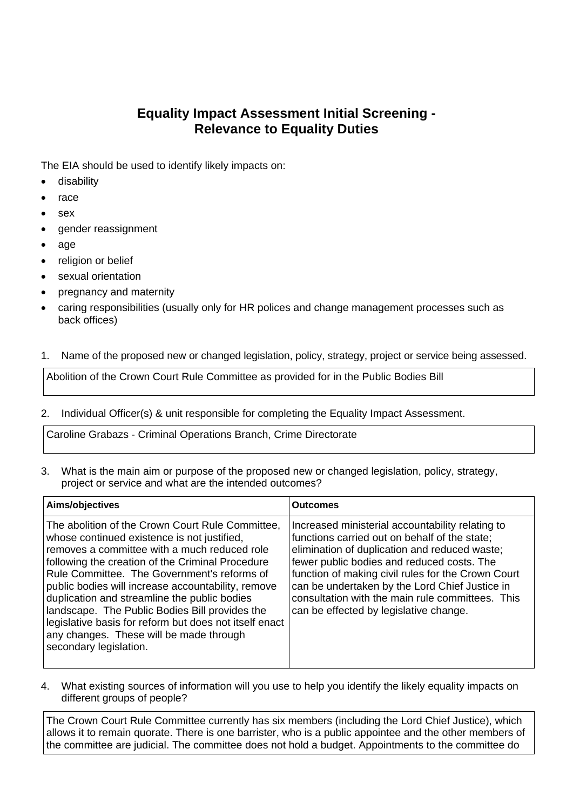## **Equality Impact Assessment Initial Screening - Relevance to Equality Duties**

The EIA should be used to identify likely impacts on:

- disability
- $\bullet$  race
- sex
- gender reassignment
- age
- religion or belief
- sexual orientation
- pregnancy and maternity
- caring responsibilities (usually only for HR polices and change management processes such as back offices)
- 1. Name of the proposed new or changed legislation, policy, strategy, project or service being assessed.

Abolition of the Crown Court Rule Committee as provided for in the Public Bodies Bill

2. Individual Officer(s) & unit responsible for completing the Equality Impact Assessment.

Caroline Grabazs - Criminal Operations Branch, Crime Directorate

3. What is the main aim or purpose of the proposed new or changed legislation, policy, strategy, project or service and what are the intended outcomes?

| Aims/objectives                                                                                                                                                                                                                                                                                                                                                                                                                                                                                                                           | <b>Outcomes</b>                                                                                                                                                                                                                                                                                                                                                                                        |
|-------------------------------------------------------------------------------------------------------------------------------------------------------------------------------------------------------------------------------------------------------------------------------------------------------------------------------------------------------------------------------------------------------------------------------------------------------------------------------------------------------------------------------------------|--------------------------------------------------------------------------------------------------------------------------------------------------------------------------------------------------------------------------------------------------------------------------------------------------------------------------------------------------------------------------------------------------------|
| The abolition of the Crown Court Rule Committee,<br>whose continued existence is not justified,<br>removes a committee with a much reduced role<br>following the creation of the Criminal Procedure<br>Rule Committee. The Government's reforms of<br>public bodies will increase accountability, remove<br>duplication and streamline the public bodies<br>landscape. The Public Bodies Bill provides the<br>legislative basis for reform but does not itself enact<br>any changes. These will be made through<br>secondary legislation. | Increased ministerial accountability relating to<br>functions carried out on behalf of the state;<br>elimination of duplication and reduced waste;<br>fewer public bodies and reduced costs. The<br>function of making civil rules for the Crown Court<br>can be undertaken by the Lord Chief Justice in<br>consultation with the main rule committees. This<br>can be effected by legislative change. |

4. What existing sources of information will you use to help you identify the likely equality impacts on different groups of people?

The Crown Court Rule Committee currently has six members (including the Lord Chief Justice), which allows it to remain quorate. There is one barrister, who is a public appointee and the other members of the committee are judicial. The committee does not hold a budget. Appointments to the committee do